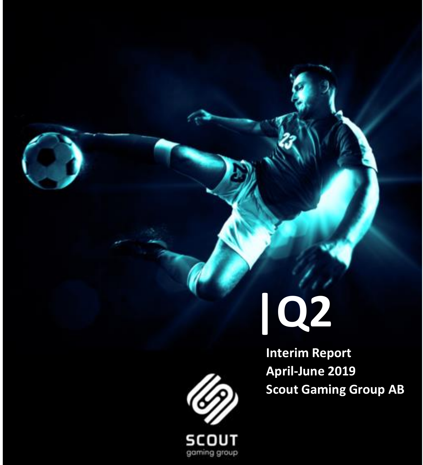# **|Q2**

 **Interim Report April-June 2019 Scout Gaming Group AB**



**SCOUT** gaming group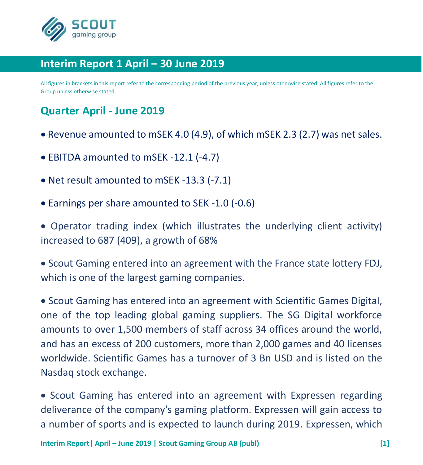

## **Interim Report 1 April – 30 June 2019**

All figures in brackets in this report refer to the corresponding period of the previous year, unless otherwise stated. All figures refer to the Group unless otherwise stated.

# **Quarter April - June 2019**

- Revenue amounted to mSEK 4.0 (4.9), of which mSEK 2.3 (2.7) was net sales.
- EBITDA amounted to mSEK -12.1 (-4.7)
- Net result amounted to mSEK -13.3 (-7.1)
- Earnings per share amounted to SEK -1.0 (-0.6)

• Operator trading index (which illustrates the underlying client activity) increased to 687 (409), a growth of 68%

• Scout Gaming entered into an agreement with the France state lottery FDJ, which is one of the largest gaming companies.

• Scout Gaming has entered into an agreement with Scientific Games Digital, one of the top leading global gaming suppliers. The SG Digital workforce amounts to over 1,500 members of staff across 34 offices around the world, and has an excess of 200 customers, more than 2,000 games and 40 licenses worldwide. Scientific Games has a turnover of 3 Bn USD and is listed on the Nasdaq stock exchange.

• Scout Gaming has entered into an agreement with Expressen regarding deliverance of the company's gaming platform. Expressen will gain access to a number of sports and is expected to launch during 2019. Expressen, which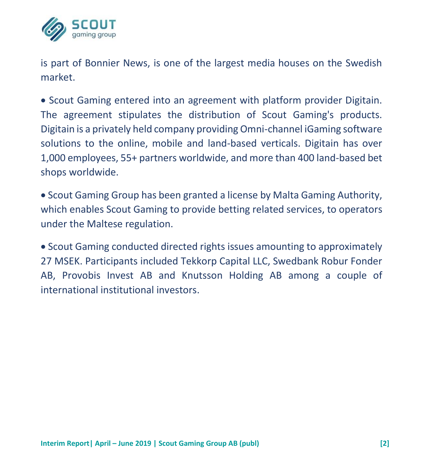

is part of Bonnier News, is one of the largest media houses on the Swedish market.

• Scout Gaming entered into an agreement with platform provider Digitain. The agreement stipulates the distribution of Scout Gaming's products. Digitain is a privately held company providing Omni-channel iGaming software solutions to the online, mobile and land-based verticals. Digitain has over 1,000 employees, 55+ partners worldwide, and more than 400 land-based bet shops worldwide.

• Scout Gaming Group has been granted a license by Malta Gaming Authority, which enables Scout Gaming to provide betting related services, to operators under the Maltese regulation.

• Scout Gaming conducted directed rights issues amounting to approximately 27 MSEK. Participants included Tekkorp Capital LLC, Swedbank Robur Fonder AB, Provobis Invest AB and Knutsson Holding AB among a couple of international institutional investors.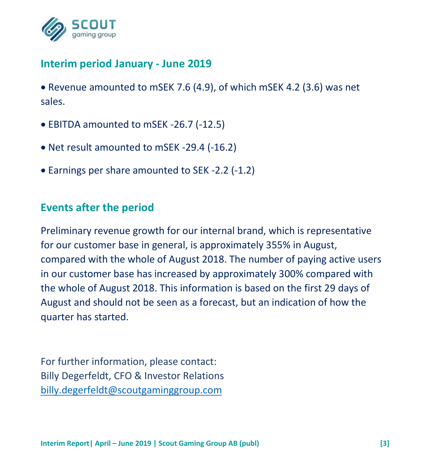

# **Interim period January - June 2019**

• Revenue amounted to mSEK 7.6 (4.9), of which mSEK 4.2 (3.6) was net sales.

- EBITDA amounted to mSEK -26.7 (-12.5)
- Net result amounted to mSEK -29.4 (-16.2)
- Earnings per share amounted to SEK -2.2 (-1.2)

# **Events after the period**

Preliminary revenue growth for our internal brand, which is representative for our customer base in general, is approximately 355% in August, compared with the whole of August 2018. The number of paying active users in our customer base has increased by approximately 300% compared with the whole of August 2018. This information is based on the first 29 days of August and should not be seen as a forecast, but an indication of how the quarter has started.

For further information, please contact: Billy Degerfeldt, CFO & Investor Relations [billy.degerfeldt@scoutgaminggroup.com](mailto:billy.degerfeldt@scoutgaminggroup.com)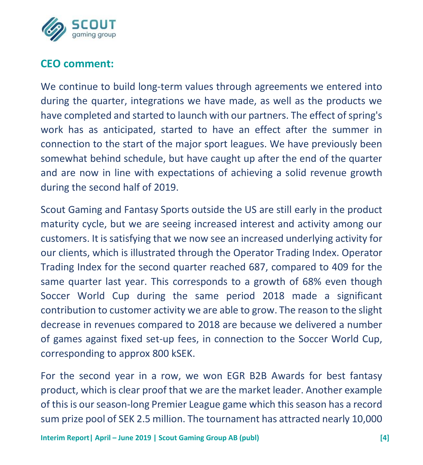

# **CEO comment:**

We continue to build long-term values through agreements we entered into during the quarter, integrations we have made, as well as the products we have completed and started to launch with our partners. The effect of spring's work has as anticipated, started to have an effect after the summer in connection to the start of the major sport leagues. We have previously been somewhat behind schedule, but have caught up after the end of the quarter and are now in line with expectations of achieving a solid revenue growth during the second half of 2019.

Scout Gaming and Fantasy Sports outside the US are still early in the product maturity cycle, but we are seeing increased interest and activity among our customers. It is satisfying that we now see an increased underlying activity for our clients, which is illustrated through the Operator Trading Index. Operator Trading Index for the second quarter reached 687, compared to 409 for the same quarter last year. This corresponds to a growth of 68% even though Soccer World Cup during the same period 2018 made a significant contribution to customer activity we are able to grow. The reason to the slight decrease in revenues compared to 2018 are because we delivered a number of games against fixed set-up fees, in connection to the Soccer World Cup, corresponding to approx 800 kSEK.

For the second year in a row, we won EGR B2B Awards for best fantasy product, which is clear proof that we are the market leader. Another example of this is our season-long Premier League game which this season has a record sum prize pool of SEK 2.5 million. The tournament has attracted nearly 10,000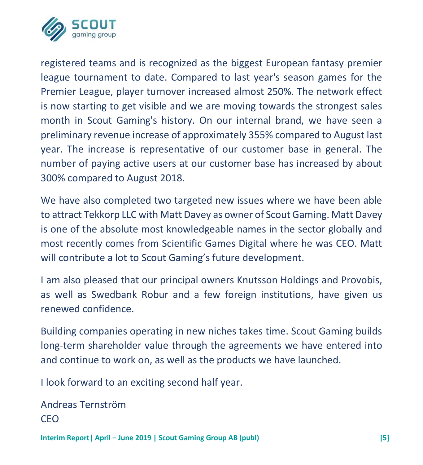

registered teams and is recognized as the biggest European fantasy premier league tournament to date. Compared to last year's season games for the Premier League, player turnover increased almost 250%. The network effect is now starting to get visible and we are moving towards the strongest sales month in Scout Gaming's history. On our internal brand, we have seen a preliminary revenue increase of approximately 355% compared to August last year. The increase is representative of our customer base in general. The number of paying active users at our customer base has increased by about 300% compared to August 2018.

We have also completed two targeted new issues where we have been able to attract Tekkorp LLC with Matt Davey as owner of Scout Gaming. Matt Davey is one of the absolute most knowledgeable names in the sector globally and most recently comes from Scientific Games Digital where he was CEO. Matt will contribute a lot to Scout Gaming's future development.

I am also pleased that our principal owners Knutsson Holdings and Provobis, as well as Swedbank Robur and a few foreign institutions, have given us renewed confidence.

Building companies operating in new niches takes time. Scout Gaming builds long-term shareholder value through the agreements we have entered into and continue to work on, as well as the products we have launched.

I look forward to an exciting second half year.

```
Andreas Ternström
CEO
```
**Interim Report| April – June 2019 | Scout Gaming Group AB (publ) [5]**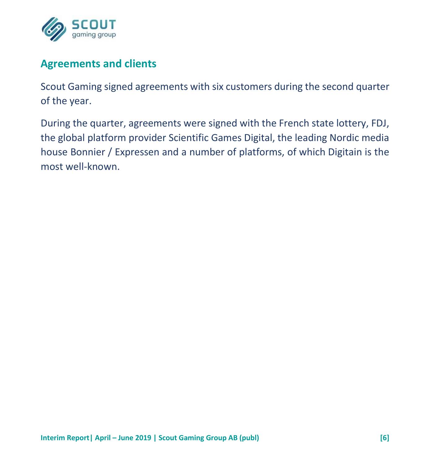

# **Agreements and clients**

Scout Gaming signed agreements with six customers during the second quarter of the year.

During the quarter, agreements were signed with the French state lottery, FDJ, the global platform provider Scientific Games Digital, the leading Nordic media house Bonnier / Expressen and a number of platforms, of which Digitain is the most well-known.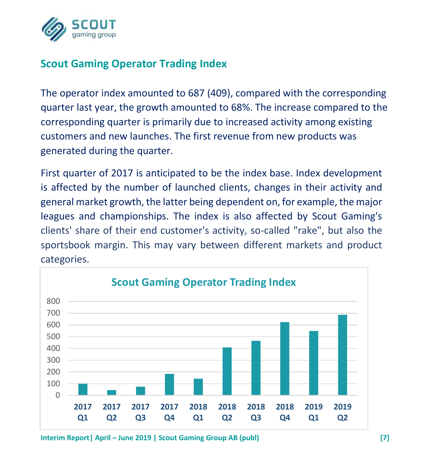

# **Scout Gaming Operator Trading Index**

The operator index amounted to 687 (409), compared with the corresponding quarter last year, the growth amounted to 68%. The increase compared to the corresponding quarter is primarily due to increased activity among existing customers and new launches. The first revenue from new products was generated during the quarter.

First quarter of 2017 is anticipated to be the index base. Index development is affected by the number of launched clients, changes in their activity and general market growth, the latter being dependent on, for example, the major leagues and championships. The index is also affected by Scout Gaming's clients' share of their end customer's activity, so-called "rake", but also the sportsbook margin. This may vary between different markets and product categories.



**Interim Report| April – June 2019 | Scout Gaming Group AB (publ) [7]**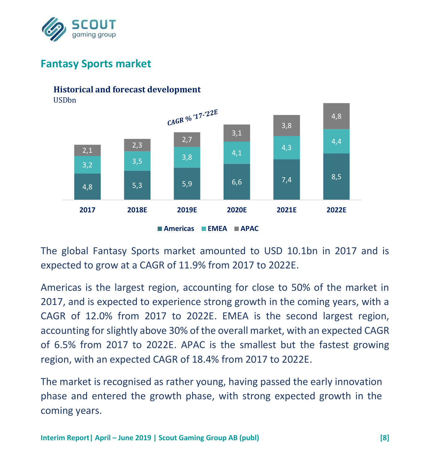

# **Fantasy Sports market**

#### 20 **Historical and forecast development**

18 USDbn



**Americas EMEA APAC**

The global Fantasy Sports market amounted to USD 10.1bn in 2017 and is expected to grow at a CAGR of 11.9% from 2017 to 2022E.

Americas is the largest region, accounting for close to 50% of the market in 2017, and is expected to experience strong growth in the coming years, with a CAGR of 12.0% from 2017 to 2022E. EMEA is the second largest region, accounting for slightly above 30% of the overall market, with an expected CAGR of 6.5% from 2017 to 2022E. APAC is the smallest but the fastest growing region, with an expected CAGR of 18.4% from 2017 to 2022E.

The market is recognised as rather young, having passed the early innovation phase and entered the growth phase, with strong expected growth in the coming years.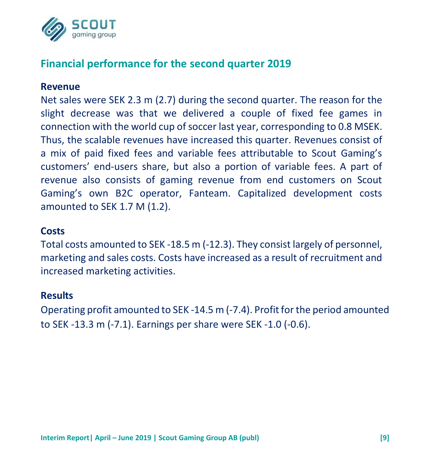

# **Financial performance for the second quarter 2019**

#### **Revenue**

Net sales were SEK 2.3 m (2.7) during the second quarter. The reason for the slight decrease was that we delivered a couple of fixed fee games in connection with the world cup of soccer last year, corresponding to 0.8 MSEK. Thus, the scalable revenues have increased this quarter. Revenues consist of a mix of paid fixed fees and variable fees attributable to Scout Gaming's customers' end-users share, but also a portion of variable fees. A part of revenue also consists of gaming revenue from end customers on Scout Gaming's own B2C operator, Fanteam. Capitalized development costs amounted to SEK 1.7 M (1.2).

#### **Costs**

Total costs amounted to SEK -18.5 m (-12.3). They consist largely of personnel, marketing and sales costs. Costs have increased as a result of recruitment and increased marketing activities.

#### **Results**

Operating profit amounted to SEK -14.5 m (-7.4). Profit for the period amounted to SEK -13.3 m (-7.1). Earnings per share were SEK -1.0 (-0.6).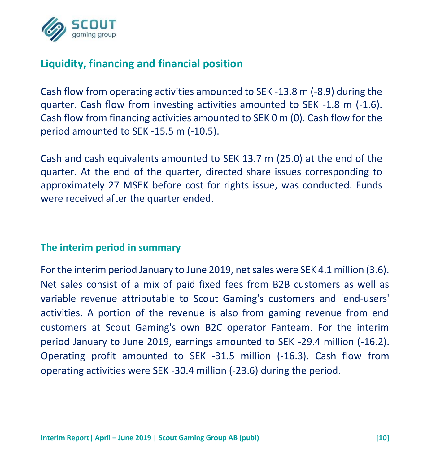

# **Liquidity, financing and financial position**

Cash flow from operating activities amounted to SEK -13.8 m (-8.9) during the quarter. Cash flow from investing activities amounted to SEK -1.8 m (-1.6). Cash flow from financing activities amounted to SEK 0 m (0). Cash flow for the period amounted to SEK -15.5 m (-10.5).

Cash and cash equivalents amounted to SEK 13.7 m (25.0) at the end of the quarter. At the end of the quarter, directed share issues corresponding to approximately 27 MSEK before cost for rights issue, was conducted. Funds were received after the quarter ended.

#### **The interim period in summary**

For the interim period January to June 2019, net sales were SEK 4.1 million (3.6). Net sales consist of a mix of paid fixed fees from B2B customers as well as variable revenue attributable to Scout Gaming's customers and 'end-users' activities. A portion of the revenue is also from gaming revenue from end customers at Scout Gaming's own B2C operator Fanteam. For the interim period January to June 2019, earnings amounted to SEK -29.4 million (-16.2). Operating profit amounted to SEK -31.5 million (-16.3). Cash flow from operating activities were SEK -30.4 million (-23.6) during the period.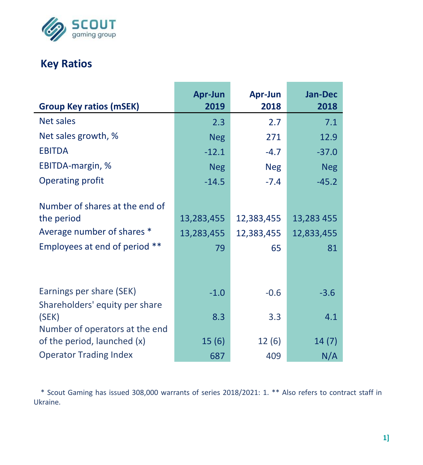

# **Key Ratios**

| <b>Group Key ratios (mSEK)</b>                                                                              | Apr-Jun<br>2019                | Apr-Jun<br>2018                | Jan-Dec<br>2018                |
|-------------------------------------------------------------------------------------------------------------|--------------------------------|--------------------------------|--------------------------------|
| Net sales                                                                                                   | 2.3                            | 2.7                            | 7.1                            |
| Net sales growth, %                                                                                         | <b>Neg</b>                     | 271                            | 12.9                           |
| <b>EBITDA</b>                                                                                               | $-12.1$                        | $-4.7$                         | $-37.0$                        |
| EBITDA-margin, %                                                                                            | <b>Neg</b>                     | <b>Neg</b>                     | <b>Neg</b>                     |
| <b>Operating profit</b>                                                                                     | $-14.5$                        | $-7.4$                         | $-45.2$                        |
| Number of shares at the end of<br>the period<br>Average number of shares *<br>Employees at end of period ** | 13,283,455<br>13,283,455<br>79 | 12,383,455<br>12,383,455<br>65 | 13,283 455<br>12,833,455<br>81 |
| Earnings per share (SEK)                                                                                    | $-1.0$                         | $-0.6$                         | $-3.6$                         |
| Shareholders' equity per share<br>(SEK)<br>Number of operators at the end                                   | 8.3                            | 3.3                            | 4.1                            |
| of the period, launched (x)                                                                                 | 15(6)                          | 12(6)                          | 14(7)                          |
| <b>Operator Trading Index</b>                                                                               | 687                            | 409                            | N/A                            |

\* Scout Gaming has issued 308,000 warrants of series 2018/2021: 1. \*\* Also refers to contract staff in Ukraine.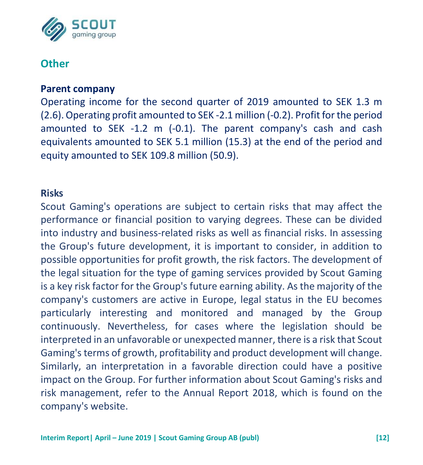

# **Other**

#### **Parent company**

Operating income for the second quarter of 2019 amounted to SEK 1.3 m (2.6). Operating profit amounted to SEK -2.1 million (-0.2). Profit for the period amounted to SEK -1.2 m (-0.1). The parent company's cash and cash equivalents amounted to SEK 5.1 million (15.3) at the end of the period and equity amounted to SEK 109.8 million (50.9).

#### **Risks**

Scout Gaming's operations are subject to certain risks that may affect the performance or financial position to varying degrees. These can be divided into industry and business-related risks as well as financial risks. In assessing the Group's future development, it is important to consider, in addition to possible opportunities for profit growth, the risk factors. The development of the legal situation for the type of gaming services provided by Scout Gaming is a key risk factor for the Group's future earning ability. As the majority of the company's customers are active in Europe, legal status in the EU becomes particularly interesting and monitored and managed by the Group continuously. Nevertheless, for cases where the legislation should be interpreted in an unfavorable or unexpected manner, there is a risk that Scout Gaming's terms of growth, profitability and product development will change. Similarly, an interpretation in a favorable direction could have a positive impact on the Group. For further information about Scout Gaming's risks and risk management, refer to the Annual Report 2018, which is found on the company's website.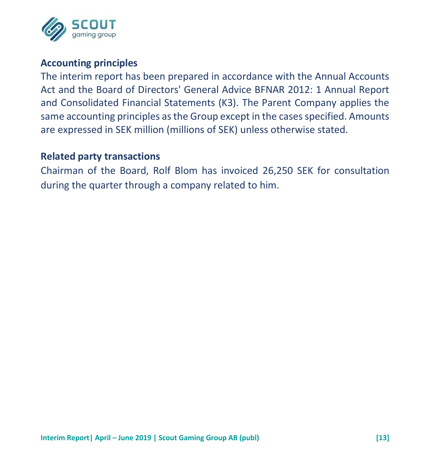

#### **Accounting principles**

The interim report has been prepared in accordance with the Annual Accounts Act and the Board of Directors' General Advice BFNAR 2012: 1 Annual Report and Consolidated Financial Statements (K3). The Parent Company applies the same accounting principles as the Group except in the cases specified. Amounts are expressed in SEK million (millions of SEK) unless otherwise stated.

#### **Related party transactions**

Chairman of the Board, Rolf Blom has invoiced 26,250 SEK for consultation during the quarter through a company related to him.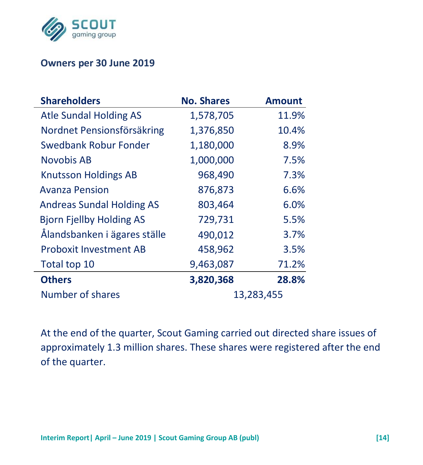

L,

#### **Owners per 30 June 2019**

| <b>Shareholders</b>              | <b>No. Shares</b> | <b>Amount</b> |
|----------------------------------|-------------------|---------------|
| Atle Sundal Holding AS           | 1,578,705         | 11.9%         |
| Nordnet Pensionsförsäkring       | 1,376,850         | 10.4%         |
| Swedbank Robur Fonder            | 1,180,000         | 8.9%          |
| Novobis AB                       | 1,000,000         | 7.5%          |
| <b>Knutsson Holdings AB</b>      | 968,490           | 7.3%          |
| <b>Avanza Pension</b>            | 876,873           | 6.6%          |
| <b>Andreas Sundal Holding AS</b> | 803,464           | 6.0%          |
| <b>Bjorn Fjellby Holding AS</b>  | 729,731           | 5.5%          |
| Ålandsbanken i ägares ställe     | 490,012           | 3.7%          |
| <b>Proboxit Investment AB</b>    | 458,962           | 3.5%          |
| Total top 10                     | 9,463,087         | 71.2%         |
| <b>Others</b>                    | 3,820,368         | 28.8%         |
| Number of shares                 |                   | 13,283,455    |

At the end of the quarter, Scout Gaming carried out directed share issues of approximately 1.3 million shares. These shares were registered after the end of the quarter.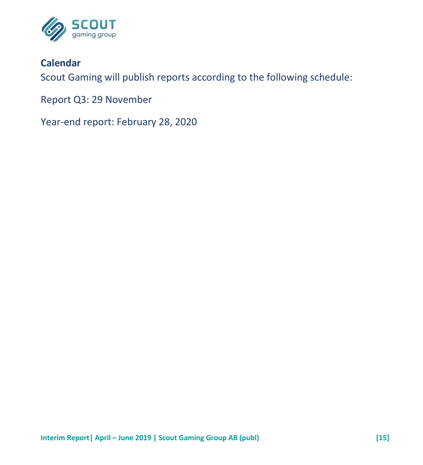

## **Calendar**

Scout Gaming will publish reports according to the following schedule:

Report Q3: 29 November

Year-end report: February 28, 2020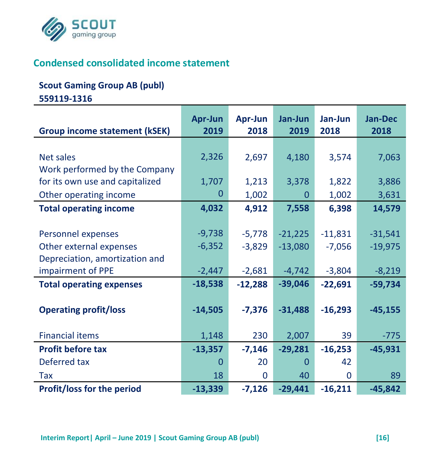

# **Condensed consolidated income statement**

#### **Scout Gaming Group AB (publ)**

**559119-1316**

|                                      | Apr-Jun   | Apr-Jun   | Jan-Jun     | Jan-Jun   | <b>Jan-Dec</b> |
|--------------------------------------|-----------|-----------|-------------|-----------|----------------|
| <b>Group income statement (kSEK)</b> | 2019      | 2018      | 2019        | 2018      | 2018           |
|                                      |           |           |             |           |                |
| Net sales                            | 2,326     | 2,697     | 4,180       | 3,574     | 7,063          |
| Work performed by the Company        |           |           |             |           |                |
| for its own use and capitalized      | 1,707     | 1,213     | 3,378       | 1,822     | 3,886          |
| Other operating income               | 0         | 1,002     | $\mathbf 0$ | 1,002     | 3,631          |
| <b>Total operating income</b>        | 4,032     | 4,912     | 7,558       | 6,398     | 14,579         |
|                                      |           |           |             |           |                |
| Personnel expenses                   | $-9,738$  | $-5,778$  | $-21,225$   | $-11,831$ | $-31,541$      |
| Other external expenses              | $-6,352$  | $-3,829$  | $-13,080$   | $-7,056$  | $-19,975$      |
| Depreciation, amortization and       |           |           |             |           |                |
| impairment of PPE                    | $-2,447$  | $-2,681$  | $-4,742$    | $-3,804$  | $-8,219$       |
| <b>Total operating expenses</b>      | $-18,538$ | $-12,288$ | $-39,046$   | $-22,691$ | $-59,734$      |
|                                      |           |           |             |           |                |
| <b>Operating profit/loss</b>         | $-14,505$ | $-7,376$  | $-31,488$   | $-16,293$ | $-45,155$      |
|                                      |           |           |             |           |                |
| <b>Financial items</b>               | 1,148     | 230       | 2,007       | 39        | $-775$         |
| <b>Profit before tax</b>             | $-13,357$ | $-7,146$  | $-29,281$   | $-16,253$ | $-45,931$      |
| Deferred tax                         | $\Omega$  | 20        | $\Omega$    | 42        |                |
| Tax                                  | 18        | 0         | 40          | 0         | 89             |
| <b>Profit/loss for the period</b>    | $-13,339$ | $-7,126$  | $-29,441$   | $-16,211$ | $-45,842$      |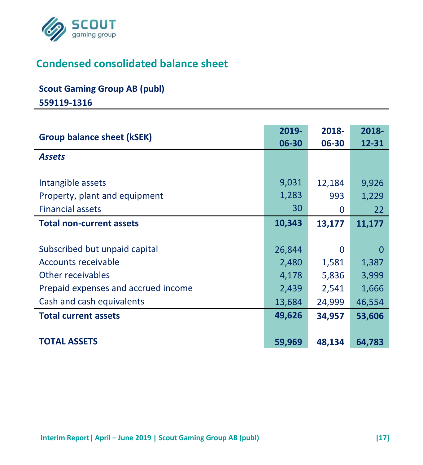

# **Condensed consolidated balance sheet**

# **Scout Gaming Group AB (publ)**

**559119-1316**

| Group balance sheet (kSEK)          | 2019-<br>06-30 | 2018-<br>06-30 | 2018-<br>12-31 |
|-------------------------------------|----------------|----------------|----------------|
| <b>Assets</b>                       |                |                |                |
|                                     |                |                |                |
| Intangible assets                   | 9,031          | 12,184         | 9,926          |
| Property, plant and equipment       | 1,283          | 993            | 1,229          |
| <b>Financial assets</b>             | 30             | <sup>0</sup>   | 22             |
| <b>Total non-current assets</b>     | 10,343         | 13,177         | 11,177         |
|                                     |                |                |                |
| Subscribed but unpaid capital       | 26,844         | $\Omega$       | $\Omega$       |
| <b>Accounts receivable</b>          | 2,480          | 1,581          | 1,387          |
| Other receivables                   | 4,178          | 5,836          | 3,999          |
| Prepaid expenses and accrued income | 2,439          | 2,541          | 1,666          |
| Cash and cash equivalents           | 13,684         | 24,999         | 46,554         |
| <b>Total current assets</b>         | 49,626         | 34,957         | 53,606         |
|                                     |                |                |                |
| <b>TOTAL ASSETS</b>                 | 59,969         | 48,134         | 64,783         |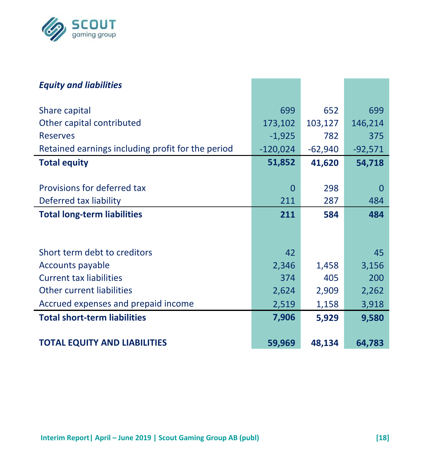

| <b>Equity and liabilities</b>                     |            |           |           |
|---------------------------------------------------|------------|-----------|-----------|
| Share capital                                     | 699        | 652       | 699       |
| Other capital contributed                         | 173,102    | 103,127   | 146,214   |
| <b>Reserves</b>                                   | $-1,925$   | 782       | 375       |
| Retained earnings including profit for the period | $-120,024$ | $-62,940$ | $-92,571$ |
| <b>Total equity</b>                               | 51,852     | 41,620    | 54,718    |
|                                                   |            |           |           |
| Provisions for deferred tax                       | $\Omega$   | 298       | $\Omega$  |
| Deferred tax liability                            | 211        | 287       | 484       |
| <b>Total long-term liabilities</b>                | 211        | 584       | 484       |
|                                                   |            |           |           |
|                                                   |            |           |           |
| Short term debt to creditors                      | 42         |           | 45        |
| Accounts payable                                  | 2,346      | 1,458     | 3,156     |
| <b>Current tax liabilities</b>                    | 374        | 405       | 200       |
| <b>Other current liabilities</b>                  | 2,624      | 2,909     | 2,262     |
| Accrued expenses and prepaid income               | 2,519      | 1,158     | 3,918     |
| <b>Total short-term liabilities</b>               | 7,906      | 5,929     | 9,580     |
|                                                   |            |           |           |
| <b>TOTAL EQUITY AND LIABILITIES</b>               | 59,969     | 48,134    | 64,783    |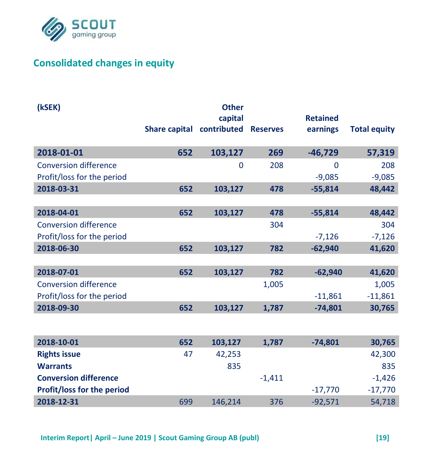

# **Consolidated changes in equity**

| (kSEK)                       |                                    | <b>Other</b> |          |                 |                     |
|------------------------------|------------------------------------|--------------|----------|-----------------|---------------------|
|                              |                                    | capital      |          | <b>Retained</b> |                     |
|                              | Share capital contributed Reserves |              |          | earnings        | <b>Total equity</b> |
| 2018-01-01                   | 652                                | 103,127      | 269      | $-46,729$       | 57,319              |
| <b>Conversion difference</b> |                                    | $\Omega$     | 208      | 0               | 208                 |
| Profit/loss for the period   |                                    |              |          | $-9,085$        | $-9,085$            |
| 2018-03-31                   | 652                                | 103,127      | 478      | $-55.814$       | 48,442              |
|                              |                                    |              |          |                 |                     |
| 2018-04-01                   | 652                                | 103,127      | 478      | $-55,814$       | 48,442              |
| <b>Conversion difference</b> |                                    |              | 304      |                 | 304                 |
| Profit/loss for the period   |                                    |              |          | $-7,126$        | $-7,126$            |
| 2018-06-30                   | 652                                | 103,127      | 782      | $-62,940$       | 41,620              |
|                              |                                    |              |          |                 |                     |
| 2018-07-01                   | 652                                | 103,127      | 782      | $-62,940$       | 41,620              |
| <b>Conversion difference</b> |                                    |              | 1,005    |                 | 1,005               |
| Profit/loss for the period   |                                    |              |          | $-11,861$       | $-11,861$           |
| 2018-09-30                   | 652                                | 103,127      | 1,787    | $-74,801$       | 30,765              |
|                              |                                    |              |          |                 |                     |
| 2018-10-01                   | 652                                | 103,127      | 1,787    | $-74,801$       | 30,765              |
| <b>Rights issue</b>          | 47                                 | 42,253       |          |                 | 42,300              |
| <b>Warrants</b>              |                                    | 835          |          |                 | 835                 |
| <b>Conversion difference</b> |                                    |              | $-1,411$ |                 | $-1,426$            |
| Profit/loss for the period   |                                    |              |          | $-17,770$       | $-17,770$           |
| 2018-12-31                   | 699                                | 146,214      | 376      | $-92,571$       | 54,718              |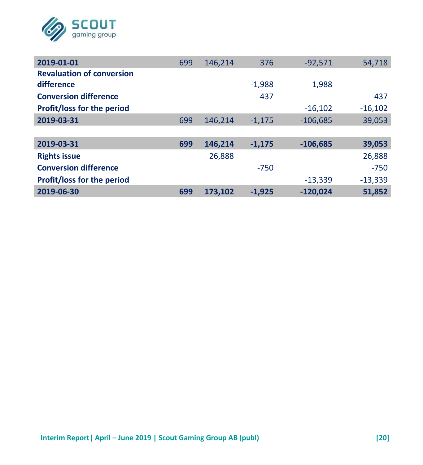

| 2019-01-01                       | 699 | 146,214 | 376      | $-92.571$  | 54,718    |
|----------------------------------|-----|---------|----------|------------|-----------|
| <b>Revaluation of conversion</b> |     |         |          |            |           |
| difference                       |     |         | $-1.988$ | 1.988      |           |
| <b>Conversion difference</b>     |     |         | 437      |            | 437       |
| Profit/loss for the period       |     |         |          | $-16,102$  | $-16,102$ |
| 2019-03-31                       | 699 | 146.214 | $-1.175$ | $-106.685$ | 39,053    |
|                                  |     |         |          |            |           |
| 2019-03-31                       | 699 | 146,214 | $-1.175$ | $-106,685$ | 39,053    |
| <b>Rights issue</b>              |     | 26.888  |          |            | 26,888    |
| <b>Conversion difference</b>     |     |         | $-750$   |            | $-750$    |
| Profit/loss for the period       |     |         |          | $-13.339$  | $-13,339$ |
| 2019-06-30                       | 699 | 173,102 | $-1,925$ | $-120,024$ | 51,852    |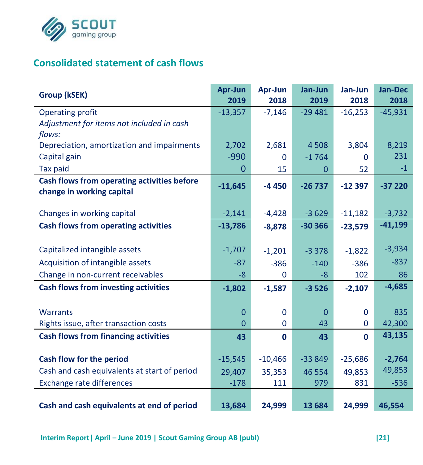

## **Consolidated statement of cash flows**

| Group (kSEK)                                                             | Apr-Jun<br>2019 | Apr-Jun<br>2018 | Jan-Jun<br>2019 | Jan-Jun<br>2018 | <b>Jan-Dec</b><br>2018 |
|--------------------------------------------------------------------------|-----------------|-----------------|-----------------|-----------------|------------------------|
| Operating profit                                                         | $-13,357$       | $-7,146$        | $-29481$        | $-16,253$       | $-45,931$              |
| Adjustment for items not included in cash                                |                 |                 |                 |                 |                        |
| flows:                                                                   |                 |                 |                 |                 |                        |
| Depreciation, amortization and impairments                               | 2,702           | 2,681           | 4508            | 3,804           | 8,219                  |
| Capital gain                                                             | $-990$          | $\mathbf{0}$    | $-1764$         | $\Omega$        | 231                    |
| <b>Tax paid</b>                                                          | $\Omega$        | 15              | $\Omega$        | 52              | $-1$                   |
| Cash flows from operating activities before<br>change in working capital | $-11,645$       | $-4450$         | $-26737$        | $-12397$        | $-37220$               |
|                                                                          |                 |                 |                 |                 |                        |
| Changes in working capital                                               | $-2,141$        | $-4,428$        | $-3629$         | $-11,182$       | $-3,732$               |
| Cash flows from operating activities                                     | $-13,786$       | $-8,878$        | $-30366$        | $-23,579$       | $-41,199$              |
|                                                                          |                 |                 |                 |                 |                        |
| Capitalized intangible assets                                            | $-1,707$        | $-1,201$        | $-3378$         | $-1,822$        | $-3,934$               |
| Acquisition of intangible assets                                         | $-87$           | $-386$          | $-140$          | $-386$          | $-837$                 |
| Change in non-current receivables                                        | $-8$            | 0               | $-8$            | 102             | 86                     |
| <b>Cash flows from investing activities</b>                              | $-1,802$        | $-1,587$        | $-3526$         | $-2,107$        | $-4,685$               |
|                                                                          |                 |                 |                 |                 |                        |
| <b>Warrants</b>                                                          | 0               | $\Omega$        | $\Omega$        | $\Omega$        | 835                    |
| Rights issue, after transaction costs                                    | $\overline{0}$  | $\Omega$        | 43              | $\mathbf{0}$    | 42,300                 |
| <b>Cash flows from financing activities</b>                              | 43              | $\mathbf{0}$    | 43              | $\mathbf{0}$    | 43,135                 |
|                                                                          |                 |                 |                 |                 |                        |
| Cash flow for the period                                                 | $-15,545$       | $-10,466$       | $-33849$        | $-25,686$       | $-2,764$               |
| Cash and cash equivalents at start of period                             | 29,407          | 35,353          | 46 554          | 49,853          | 49,853                 |
| Exchange rate differences                                                | $-178$          | 111             | 979             | 831             | $-536$                 |
| Cash and cash equivalents at end of period                               | 13,684          | 24,999          | 13 684          | 24,999          | 46,554                 |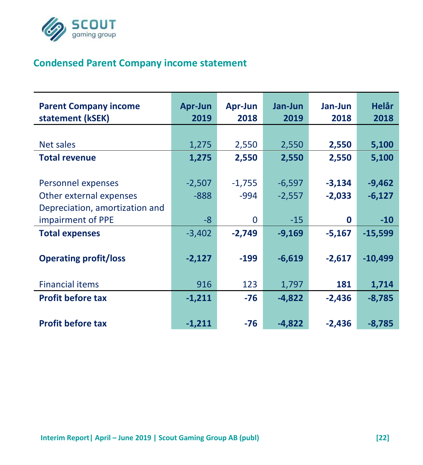

# **Condensed Parent Company income statement**

| <b>Parent Company income</b><br>statement (kSEK) | Apr-Jun<br>2019 | Apr-Jun<br>2018 | Jan-Jun<br>2019 | Jan-Jun<br>2018 | <b>Helår</b><br>2018 |
|--------------------------------------------------|-----------------|-----------------|-----------------|-----------------|----------------------|
|                                                  |                 |                 |                 |                 |                      |
| Net sales                                        | 1,275           | 2,550           | 2,550           | 2,550           | 5,100                |
| <b>Total revenue</b>                             | 1,275           | 2,550           | 2,550           | 2,550           | 5,100                |
|                                                  |                 |                 |                 |                 |                      |
| Personnel expenses                               | $-2,507$        | $-1,755$        | $-6,597$        | $-3,134$        | $-9,462$             |
| Other external expenses                          | $-888$          | -994            | $-2,557$        | $-2,033$        | $-6,127$             |
| Depreciation, amortization and                   |                 |                 |                 |                 |                      |
| impairment of PPE                                | $-8$            | 0               | $-15$           | $\mathbf 0$     | $-10$                |
| <b>Total expenses</b>                            | $-3,402$        | $-2,749$        | $-9,169$        | $-5.167$        | $-15.599$            |
|                                                  |                 |                 |                 |                 |                      |
| <b>Operating profit/loss</b>                     | $-2,127$        | $-199$          | $-6,619$        | $-2,617$        | $-10,499$            |
|                                                  |                 |                 |                 |                 |                      |
| <b>Financial items</b>                           | 916             | 123             | 1,797           | 181             | 1,714                |
| <b>Profit before tax</b>                         | $-1,211$        | $-76$           | $-4,822$        | $-2,436$        | $-8,785$             |
|                                                  |                 |                 |                 |                 |                      |
| <b>Profit before tax</b>                         | $-1,211$        | $-76$           | $-4,822$        | $-2,436$        | $-8,785$             |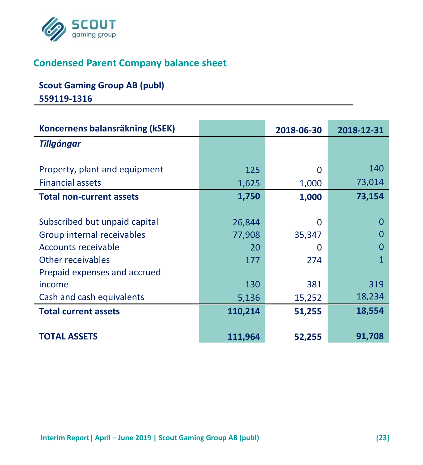

## **Condensed Parent Company balance sheet**

## **Scout Gaming Group AB (publ) 559119-1316**

| Koncernens balansräkning (kSEK) |         | 2018-06-30 | 2018-12-31 |
|---------------------------------|---------|------------|------------|
| <b>Tillgångar</b>               |         |            |            |
|                                 |         |            |            |
| Property, plant and equipment   | 125     | 0          | 140        |
| <b>Financial assets</b>         | 1,625   | 1,000      | 73,014     |
| <b>Total non-current assets</b> | 1,750   | 1,000      | 73,154     |
|                                 |         |            |            |
| Subscribed but unpaid capital   | 26,844  | 0          | O          |
| Group internal receivables      | 77,908  | 35,347     | O          |
| Accounts receivable             | 20      | O          |            |
| Other receivables               | 177     | 274        | 1          |
| Prepaid expenses and accrued    |         |            |            |
| income                          | 130     | 381        | 319        |
| Cash and cash equivalents       | 5,136   | 15,252     | 18,234     |
| <b>Total current assets</b>     | 110,214 | 51,255     | 18,554     |
|                                 |         |            |            |
| <b>TOTAL ASSETS</b>             | 111,964 | 52,255     | 91,708     |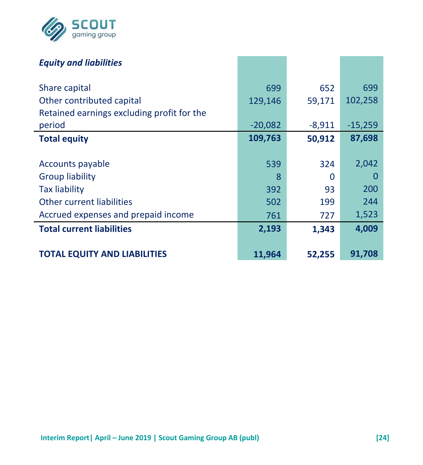

| <b>Equity and liabilities</b>              |           |        |           |
|--------------------------------------------|-----------|--------|-----------|
| Share capital                              | 699       | 652    | 699       |
| Other contributed capital                  | 129,146   | 59,171 | 102,258   |
| Retained earnings excluding profit for the |           |        |           |
| period                                     | $-20,082$ | -8,911 | $-15,259$ |
| <b>Total equity</b>                        | 109,763   | 50,912 | 87,698    |
|                                            |           |        |           |
| Accounts payable                           | 539       | 324    | 2,042     |
| Group liability                            | 8         | ∩      | 0         |
| <b>Tax liability</b>                       | 392       | 93     | 200       |
| Other current liabilities                  | 502       | 199    | 244       |
| Accrued expenses and prepaid income        | 761       | 727    | 1,523     |
| <b>Total current liabilities</b>           | 2,193     | 1,343  | 4,009     |
|                                            |           |        |           |
| <b>TOTAL EQUITY AND LIABILITIES</b>        | 11,964    | 52,255 | 91,708    |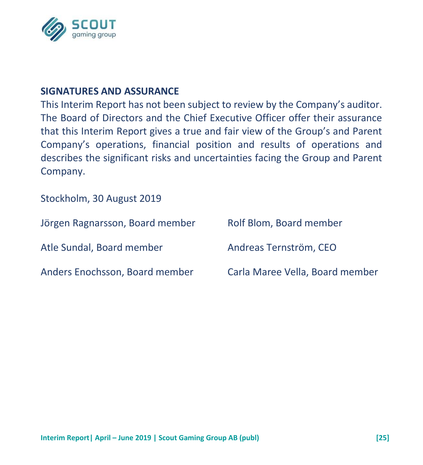

#### **SIGNATURES AND ASSURANCE**

This Interim Report has not been subject to review by the Company's auditor. The Board of Directors and the Chief Executive Officer offer their assurance that this Interim Report gives a true and fair view of the Group's and Parent Company's operations, financial position and results of operations and describes the significant risks and uncertainties facing the Group and Parent Company.

Stockholm, 30 August 2019

| Jörgen Ragnarsson, Board member | Rolf Blom, Board member         |
|---------------------------------|---------------------------------|
| Atle Sundal, Board member       | Andreas Ternström. CEO          |
| Anders Enochsson, Board member  | Carla Maree Vella, Board member |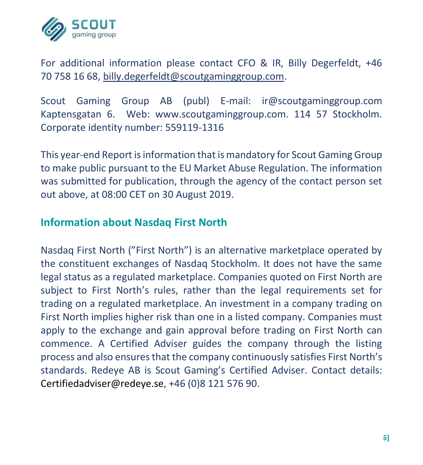

For additional information please contact CFO & IR, Billy Degerfeldt, +46 70 758 16 68, [billy.degerfeldt@scoutgaminggroup.com.](mailto:billy.degerfeldt@scoutgaminggroup.com)

Scout Gaming Group AB (publ) E-mail: ir@scoutgaminggroup.com Kaptensgatan 6. Web: www.scoutgaminggroup.com. 114 57 Stockholm. Corporate identity number: 559119-1316

This year-end Report is information that is mandatory for Scout Gaming Group to make public pursuant to the EU Market Abuse Regulation. The information was submitted for publication, through the agency of the contact person set out above, at 08:00 CET on 30 August 2019.

## **Information about Nasdaq First North**

Nasdaq First North ("First North") is an alternative marketplace operated by the constituent exchanges of Nasdaq Stockholm. It does not have the same legal status as a regulated marketplace. Companies quoted on First North are subject to First North's rules, rather than the legal requirements set for trading on a regulated marketplace. An investment in a company trading on First North implies higher risk than one in a listed company. Companies must apply to the exchange and gain approval before trading on First North can commence. A Certified Adviser guides the company through the listing process and also ensures that the company continuously satisfies First North's standards. Redeye AB is Scout Gaming's Certified Adviser. Contact details: Certifiedadviser@redeye.se, +46 (0)8 121 576 90.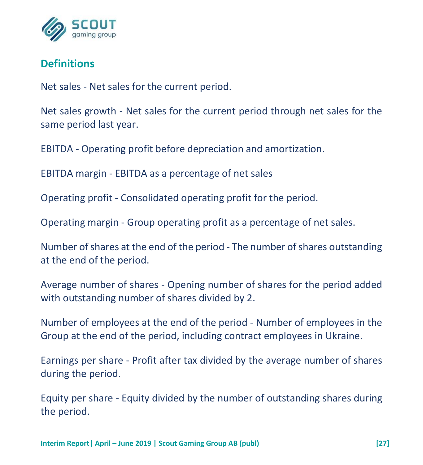

# **Definitions**

Net sales - Net sales for the current period.

Net sales growth - Net sales for the current period through net sales for the same period last year.

EBITDA - Operating profit before depreciation and amortization.

EBITDA margin - EBITDA as a percentage of net sales

Operating profit - Consolidated operating profit for the period.

Operating margin - Group operating profit as a percentage of net sales.

Number of shares at the end of the period - The number of shares outstanding at the end of the period.

Average number of shares - Opening number of shares for the period added with outstanding number of shares divided by 2.

Number of employees at the end of the period - Number of employees in the Group at the end of the period, including contract employees in Ukraine.

Earnings per share - Profit after tax divided by the average number of shares during the period.

Equity per share - Equity divided by the number of outstanding shares during the period.